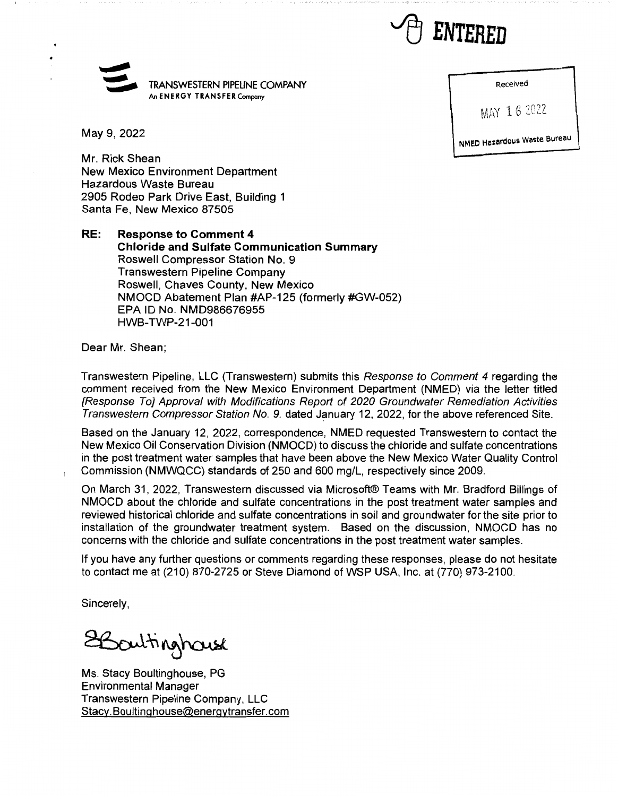

## $\leq$ ¢ TRANSWESTERN PIPELINE COMPANY An **ENERGY TRANSFER** Company

Received

MAY 16 2022

NMED **Hazardous waste** Bureau

May 9, 2022

Mr. Rick Shean New Mexico Environment Department Hazardous Waste Bureau 2905 Rodeo Park Drive East, Building 1 Santa Fe, New Mexico 87505

**RE: Response to Comment 4 Chloride and Sulfate Communication Summary**  Roswell Compressor Station No. 9 Transwestern Pipeline Company Roswell, Chaves County, New Mexico NMOCD Abatement Plan #AP-125 (formerly #GW-052) EPA ID No. NMD986676955 HWB-TWP-21-001

Dear Mr. Shean;

Transwestern Pipeline, LLC (Transwestern) submits this Response to Comment 4 regarding the comment received from the New Mexico Environment Department (NMED) via the letter titled [Response To] Approval with Modifications Report of 2020 Groundwater Remediation Activities Transwestern Compressor Station No. 9. dated January 12, 2022, for the above referenced Site.

Based on the January 12, 2022, correspondence, NMED requested Transwestern to contact the New Mexico Oil Conservation Division (NMOCD) to discuss the chloride and sulfate concentrations in the post treatment water samples that have been above the New Mexico Water Quality Control Commission (NMWQCC) standards of 250 and 600 mg/L, respectively since 2009.

On March 31, 2022, Transwestern discussed via Microsoft® Teams with Mr. Bradford Billings of NMOCD about the chloride and sulfate concentrations in the post treatment water samples and reviewed historical chloride and sulfate concentrations in soil and groundwater for the site prior to installation of the groundwater treatment system. Based on the discussion, NMOCD has no concerns with the chloride and sulfate concentrations in the post treatment water samples.

If you have any further questions or comments regarding these responses, please do not hesitate to contact me at (210) 870-2725 or Steve Diamond of WSP USA, Inc. at (770) 973-2100.

Sincerely,

**2**Boultinghouse

Ms. Stacy Boultinghouse, PG Environmental Manager Transwestern Pipeline Company, LLC Stacy.Boultinghouse@energytransfer.com